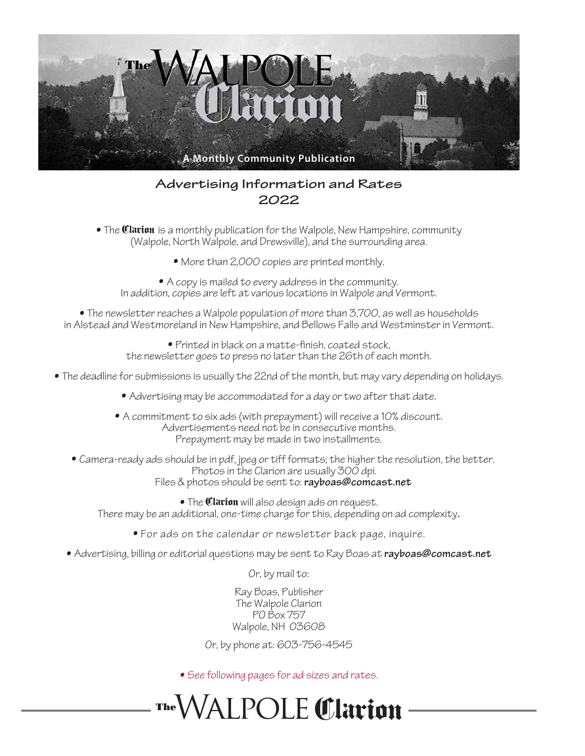

## Advertising Information and Rates 2022

• The **Clarion** is a monthly publication for the Walpole, New Hampshire, community (Walpole, North Walpole, and Drewsville), and the surrounding area.

• More than 2,000 copies are printed monthly.

• A copy is mailed to every address in the community. In addition, copies are left at various locations in Walpole and Vermont.

• The newsletter reaches a Walpole population of more than 3,700, as well as households in Alstead and Westmoreland in New Hampshire, and Bellows Falls and Westminster in Vermont.

> • Printed in black on a matte-finish, coated stock, the newsletter goes to press no later than the 26th of each month.

- The deadline for submissions is usually the 22nd of the month, but may vary depending on holidays.
	- Advertising may be accommodated for a day or two after that date.
	- A commitment to six ads (with prepayment) will receive a 10% discount. Advertisements need not be in consecutive months. Prepayment may be made in two installments.
	- Camera-ready ads should be in pdf, jpeg or tiff formats; the higher the resolution, the better. Photos in the Clarion are usually 300 dpi. Files & photos should be sent to: rayboas@comcast.net

• The **Clarion** will also design ads on request. There may be an additional, one-time charge for this, depending on ad complexity.

- For ads on the calendar or newsletter back page, inquire.
- Advertising, billing or editorial questions may be sent to Ray Boas at rayboas@comcast.net

Or, by mail to:

Ray Boas, Publisher The Walpole Clarion PO Box 757 Walpole, NH 03608

Or, by phone at: 603-756-4545

• See following pages for ad sizes and rates.

**The**Walpole Clarion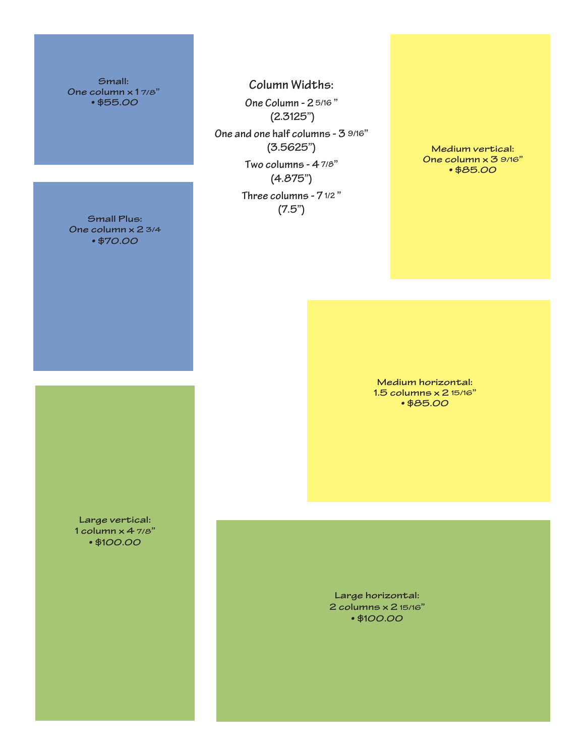Small: One column x 1 7/8" • \$55.00

Column Widths: One Column - 2 5/16 " (2.3125") One and one half columns - 3 9/16" (3.5625") Two columns - 4 7/8" (4.875") Three columns - 7 1/2 "  $(7.5")$ 

Medium vertical: One column x 3 9/16" • \$85.00

Medium horizontal: 1.5 columns x 2 15/16" • \$85.00

Large horizontal: 2 columns x 2 15/16" • \$100.00

Small Plus: • \$70.00

Large vertical: 1 column x 4 7/8" • \$100.00

One column x 2 3/4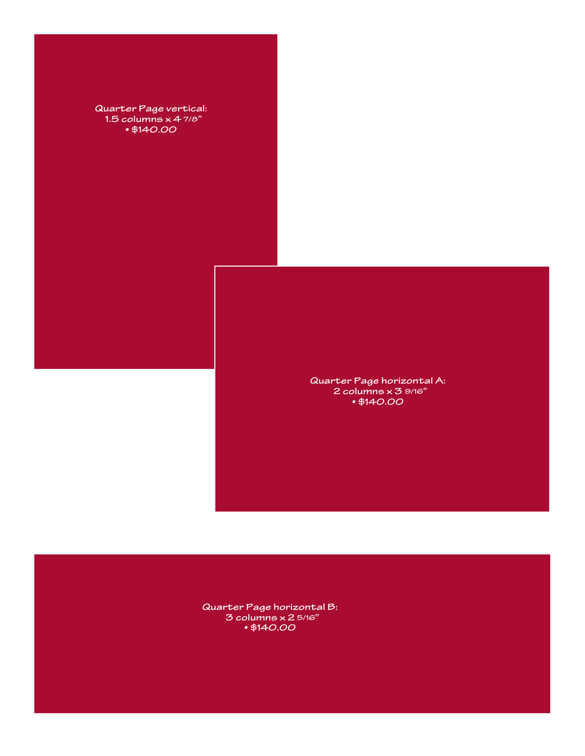

Quarter Page horizontal B: 3 columns x 2 5/16" • \$140.00